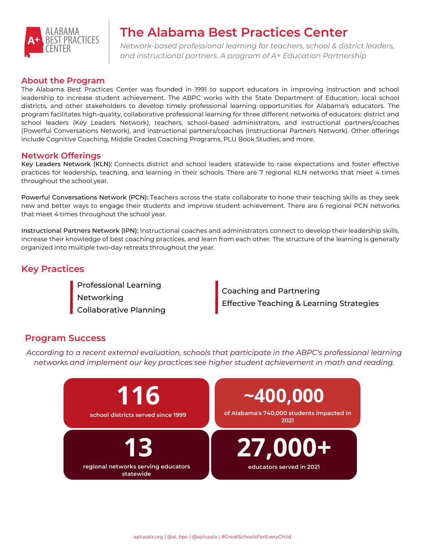

# **The Alabama Best Practices Center**

*Network-based professional learning for teachers, school & district leaders, and instructional partners. A program of A+ Education Partnership*

### **About the Program**

The Alabama Best Practices Center was founded in 1991 to support educators in improving instruction and school leadership to increase student achievement. The ABPC works with the State Department of Education, local school districts, and other stakeholders to develop timely professional learning opportunities for Alabama's educators. The program facilitates high-quality, collaborative professional learning for three different networks of educators: district and school leaders (Key Leaders Network), teachers, school-based administrators, and instructional partners/coaches (Powerful Conversations Network), and instructional partners/coaches (Instructional Partners Network). Other offerings include Cognitive Coaching, Middle Grades Coaching Programs, PLU Book Studies, and more.

### **Network Offerings**

Key Leaders Network (KLN): Connects district and school leaders statewide to raise expectations and foster effective practices for leadership, teaching, and learning in their schools. There are 7 regional KLN networks that meet 4 times throughout the school year.

Powerful Conversations Network (PCN): Teachers across the state collaborate to hone their teaching skills as they seek new and better ways to engage their students and improve student achievement. There are 6 regional PCN networks that meet 4 times throughout the school year.

Instructional Partners Network (IPN): Instructional coaches and administrators connect to develop their leadership skills, increase their knowledge of best coaching practices, and learn from each other. The structure of the learning is generally organized into multiple two-day retreats throughout the year.

## **Key Practices**

Professional Learning Networking Collaborative Planning

Coaching and Partnering Effective Teaching & Learning Strategies

### **Program Success**

*According to a recent external evaluation, schools that participate in the ABPC's professional learning networks and implement our key practices see higher student achievement in math and reading.*